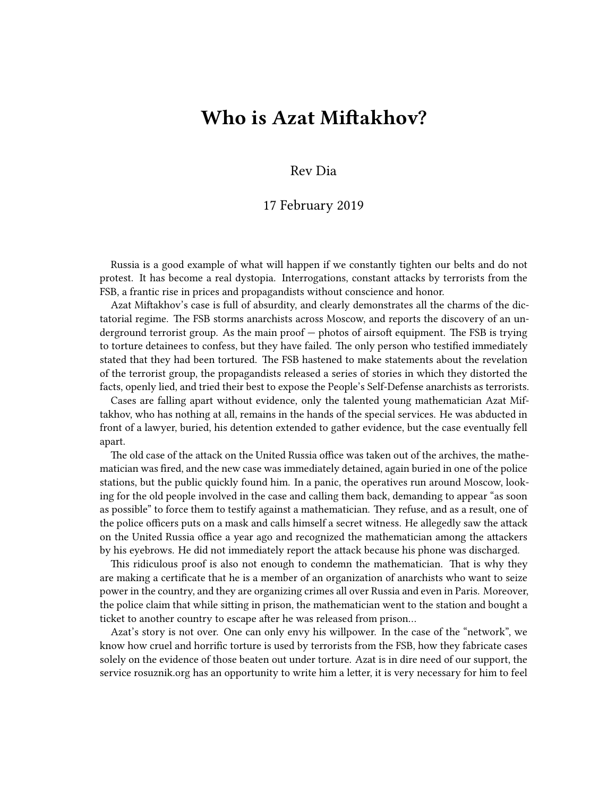## **Who is Azat Miftakhov?**

Rev Dia

## 17 February 2019

Russia is a good example of what will happen if we constantly tighten our belts and do not protest. It has become a real dystopia. Interrogations, constant attacks by terrorists from the FSB, a frantic rise in prices and propagandists without conscience and honor.

Azat Miftakhov's case is full of absurdity, and clearly demonstrates all the charms of the dictatorial regime. The FSB storms anarchists across Moscow, and reports the discovery of an underground terrorist group. As the main proof — photos of airsoft equipment. The FSB is trying to torture detainees to confess, but they have failed. The only person who testified immediately stated that they had been tortured. The FSB hastened to make statements about the revelation of the terrorist group, the propagandists released a series of stories in which they distorted the facts, openly lied, and tried their best to expose the People's Self-Defense anarchists as terrorists.

Cases are falling apart without evidence, only the talented young mathematician Azat Miftakhov, who has nothing at all, remains in the hands of the special services. He was abducted in front of a lawyer, buried, his detention extended to gather evidence, but the case eventually fell apart.

The old case of the attack on the United Russia office was taken out of the archives, the mathematician was fired, and the new case was immediately detained, again buried in one of the police stations, but the public quickly found him. In a panic, the operatives run around Moscow, looking for the old people involved in the case and calling them back, demanding to appear "as soon as possible" to force them to testify against a mathematician. They refuse, and as a result, one of the police officers puts on a mask and calls himself a secret witness. He allegedly saw the attack on the United Russia office a year ago and recognized the mathematician among the attackers by his eyebrows. He did not immediately report the attack because his phone was discharged.

This ridiculous proof is also not enough to condemn the mathematician. That is why they are making a certificate that he is a member of an organization of anarchists who want to seize power in the country, and they are organizing crimes all over Russia and even in Paris. Moreover, the police claim that while sitting in prison, the mathematician went to the station and bought a ticket to another country to escape after he was released from prison…

Azat's story is not over. One can only envy his willpower. In the case of the "network", we know how cruel and horrific torture is used by terrorists from the FSB, how they fabricate cases solely on the evidence of those beaten out under torture. Azat is in dire need of our support, the service [rosuznik.org](http://rosuznik.org) has an opportunity to write him a letter, it is very necessary for him to feel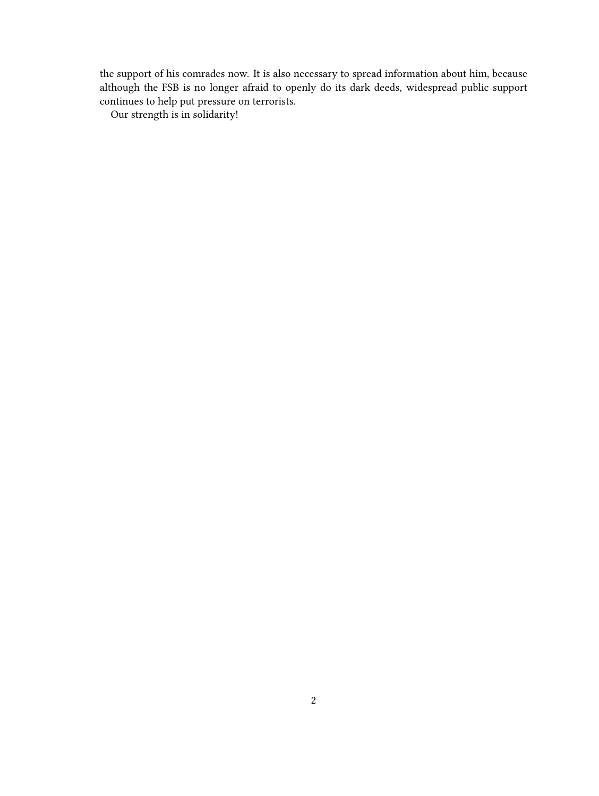the support of his comrades now. It is also necessary to spread information about him, because although the FSB is no longer afraid to openly do its dark deeds, widespread public support continues to help put pressure on terrorists.

Our strength is in solidarity!